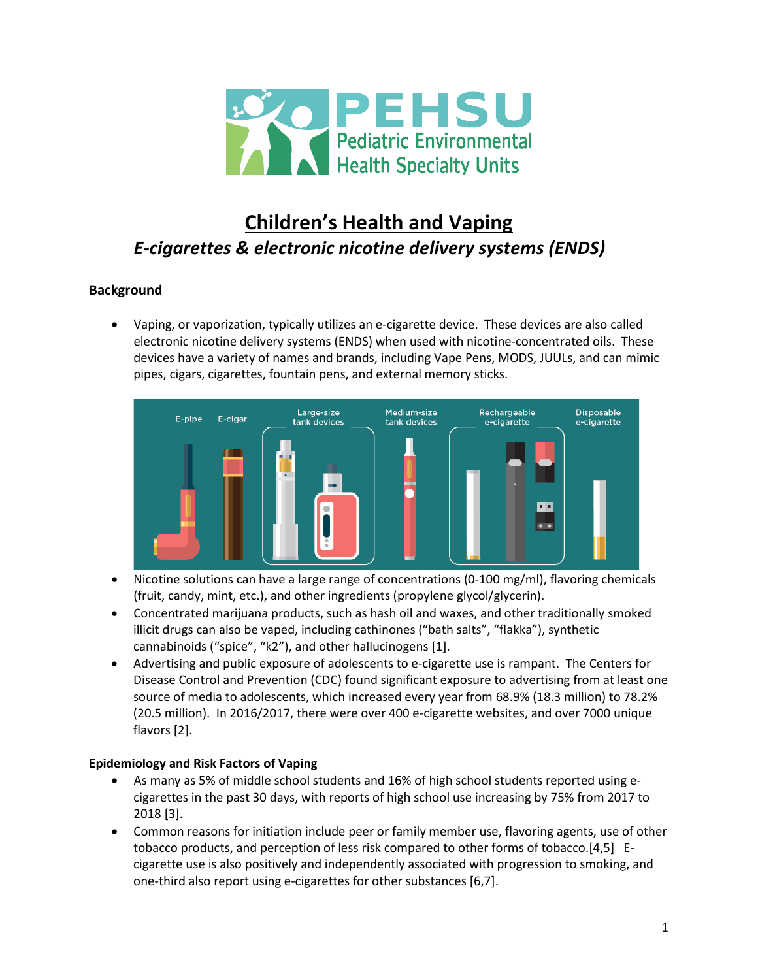

# **Children's Health and Vaping** *E-cigarettes & electronic nicotine delivery systems (ENDS)*

# **Background**

• Vaping, or vaporization, typically utilizes an e-cigarette device. These devices are also called electronic nicotine delivery systems (ENDS) when used with nicotine-concentrated oils. These devices have a variety of names and brands, including Vape Pens, MODS, JUULs, and can mimic pipes, cigars, cigarettes, fountain pens, and external memory sticks.



- Nicotine solutions can have a large range of concentrations (0-100 mg/ml), flavoring chemicals (fruit, candy, mint, etc.), and other ingredients (propylene glycol/glycerin).
- Concentrated marijuana products, such as hash oil and waxes, and other traditionally smoked illicit drugs can also be vaped, including cathinones ("bath salts", "flakka"), synthetic cannabinoids ("spice", "k2"), and other hallucinogens [1].
- Advertising and public exposure of adolescents to e-cigarette use is rampant. The Centers for Disease Control and Prevention (CDC) found significant exposure to advertising from at least one source of media to adolescents, which increased every year from 68.9% (18.3 million) to 78.2% (20.5 million). In 2016/2017, there were over 400 e-cigarette websites, and over 7000 unique flavors [2].

### **Epidemiology and Risk Factors of Vaping**

- As many as 5% of middle school students and 16% of high school students reported using ecigarettes in the past 30 days, with reports of high school use increasing by 75% from 2017 to 2018 [3].
- Common reasons for initiation include peer or family member use, flavoring agents, use of other tobacco products, and perception of less risk compared to other forms of tobacco.[4,5] Ecigarette use is also positively and independently associated with progression to smoking, and one-third also report using e-cigarettes for other substances [6,7].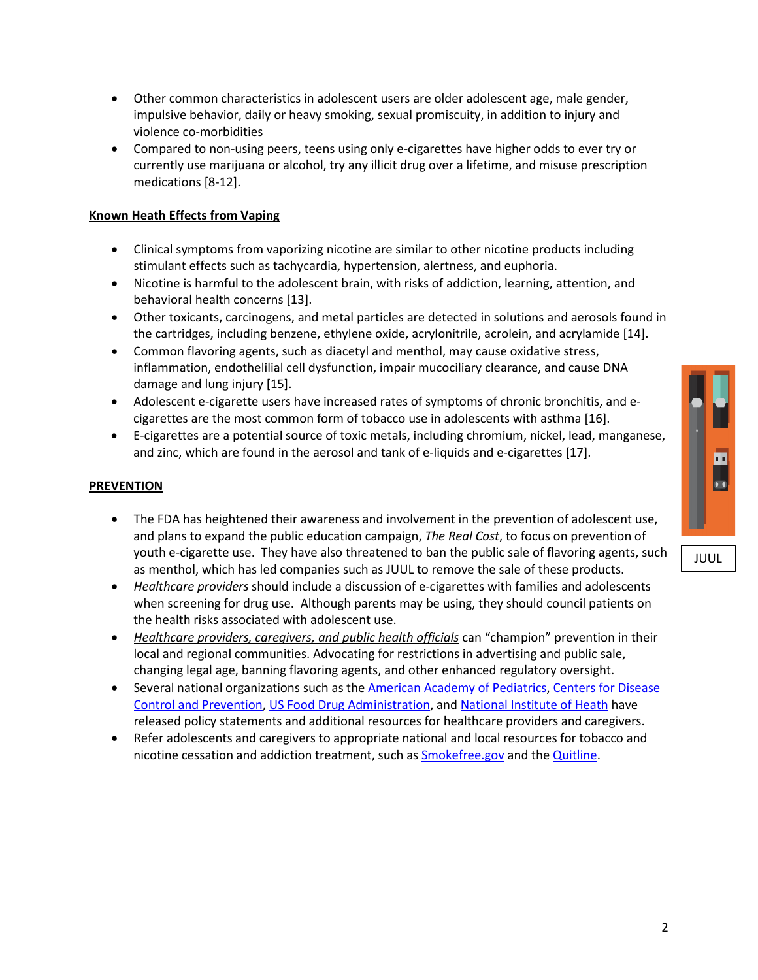2

- Other common characteristics in adolescent users are older adolescent age, male gender, impulsive behavior, daily or heavy smoking, sexual promiscuity, in addition to injury and violence co-morbidities
- Compared to non-using peers, teens using only e-cigarettes have higher odds to ever try or currently use marijuana or alcohol, try any illicit drug over a lifetime, and misuse prescription medications [8-12].

# **Known Heath Effects from Vaping**

- Clinical symptoms from vaporizing nicotine are similar to other nicotine products including stimulant effects such as tachycardia, hypertension, alertness, and euphoria.
- Nicotine is harmful to the adolescent brain, with risks of addiction, learning, attention, and behavioral health concerns [13].
- Other toxicants, carcinogens, and metal particles are detected in solutions and aerosols found in the cartridges, including benzene, ethylene oxide, acrylonitrile, acrolein, and acrylamide [14].
- Common flavoring agents, such as diacetyl and menthol, may cause oxidative stress, inflammation, endothelilial cell dysfunction, impair mucociliary clearance, and cause DNA damage and lung injury [15].
- Adolescent e-cigarette users have increased rates of symptoms of chronic bronchitis, and ecigarettes are the most common form of tobacco use in adolescents with asthma [16].
- E-cigarettes are a potential source of toxic metals, including chromium, nickel, lead, manganese, and zinc, which are found in the aerosol and tank of e-liquids and e-cigarettes [17].

### **PREVENTION**

- The FDA has heightened their awareness and involvement in the prevention of adolescent use, and plans to expand the public education campaign, *The Real Cost*, to focus on prevention of youth e-cigarette use. They have also threatened to ban the public sale of flavoring agents, such as menthol, which has led companies such as JUUL to remove the sale of these products.
- *Healthcare providers* should include a discussion of e-cigarettes with families and adolescents when screening for drug use. Although parents may be using, they should council patients on the health risks associated with adolescent use.
- *Healthcare providers, caregivers, and public health officials* can "champion" prevention in their local and regional communities. Advocating for restrictions in advertising and public sale, changing legal age, banning flavoring agents, and other enhanced regulatory oversight.
- Several national organizations such as the American Academy of [Pediatrics,](https://www.aap.org/en-us/advocacy-and-policy/aap-health-initiatives/Pages/Resources-on-E-cigarettes.aspx) [Centers](https://www.cdc.gov/tobacco/basic_information/e-cigarettes/index.htm) for Disease Control and [Prevention,](https://www.cdc.gov/tobacco/basic_information/e-cigarettes/index.htm) US Food Drug [Administration,](https://www.fda.gov/tobaccoproducts/labeling/productsingredientscomponents/ucm456610.htm) and [National](https://www.drugabuse.gov/publications/drugfacts/electronic-cigarettes-e-cigarettes) Institute of Heath have released policy statements and additional resources for healthcare providers and caregivers.
- Refer adolescents and caregivers to appropriate national and local resources for tobacco and nicotine cessation and addiction treatment, such as [Smokefree.gov](https://smokefree.gov/tools-tips/get-extra-help/speak-to-an-expert) and the [Quitline.](https://www.cdc.gov/tobacco/quit_smoking/cessation/nqdw/index.htm)



JUUL